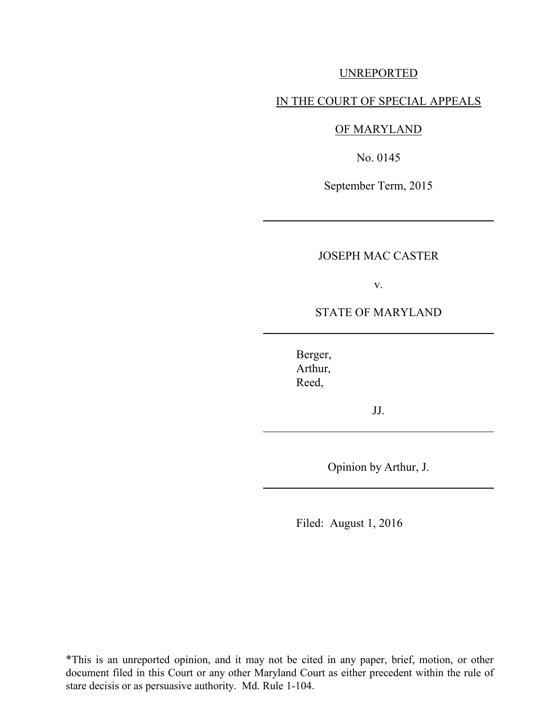## UNREPORTED

### IN THE COURT OF SPECIAL APPEALS

# OF MARYLAND

No. 0145

September Term, 2015

# JOSEPH MAC CASTER

v.

## STATE OF MARYLAND

 Berger, Arthur, Reed,

JJ.

Opinion by Arthur, J.

Filed: August 1, 2016

\*This is an unreported opinion, and it may not be cited in any paper, brief, motion, or other document filed in this Court or any other Maryland Court as either precedent within the rule of stare decisis or as persuasive authority. Md. Rule 1-104.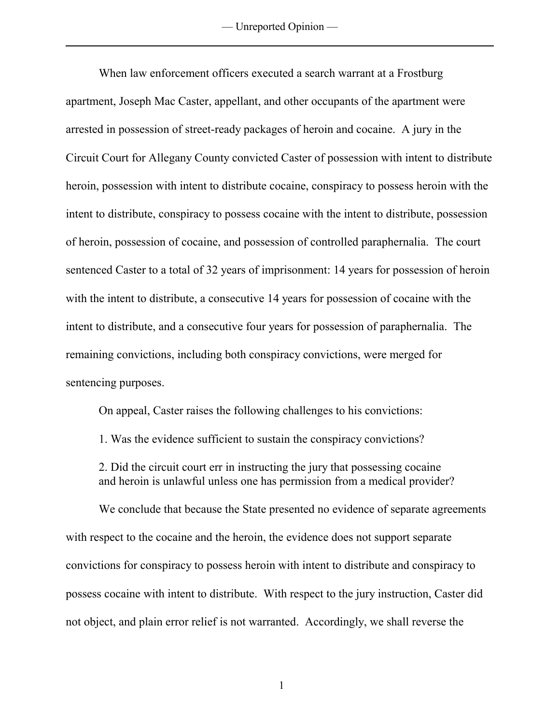When law enforcement officers executed a search warrant at a Frostburg apartment, Joseph Mac Caster, appellant, and other occupants of the apartment were arrested in possession of street-ready packages of heroin and cocaine. A jury in the Circuit Court for Allegany County convicted Caster of possession with intent to distribute heroin, possession with intent to distribute cocaine, conspiracy to possess heroin with the intent to distribute, conspiracy to possess cocaine with the intent to distribute, possession of heroin, possession of cocaine, and possession of controlled paraphernalia. The court sentenced Caster to a total of 32 years of imprisonment: 14 years for possession of heroin with the intent to distribute, a consecutive 14 years for possession of cocaine with the intent to distribute, and a consecutive four years for possession of paraphernalia. The remaining convictions, including both conspiracy convictions, were merged for sentencing purposes.

On appeal, Caster raises the following challenges to his convictions:

1. Was the evidence sufficient to sustain the conspiracy convictions?

2. Did the circuit court err in instructing the jury that possessing cocaine and heroin is unlawful unless one has permission from a medical provider?

We conclude that because the State presented no evidence of separate agreements with respect to the cocaine and the heroin, the evidence does not support separate convictions for conspiracy to possess heroin with intent to distribute and conspiracy to possess cocaine with intent to distribute. With respect to the jury instruction, Caster did not object, and plain error relief is not warranted. Accordingly, we shall reverse the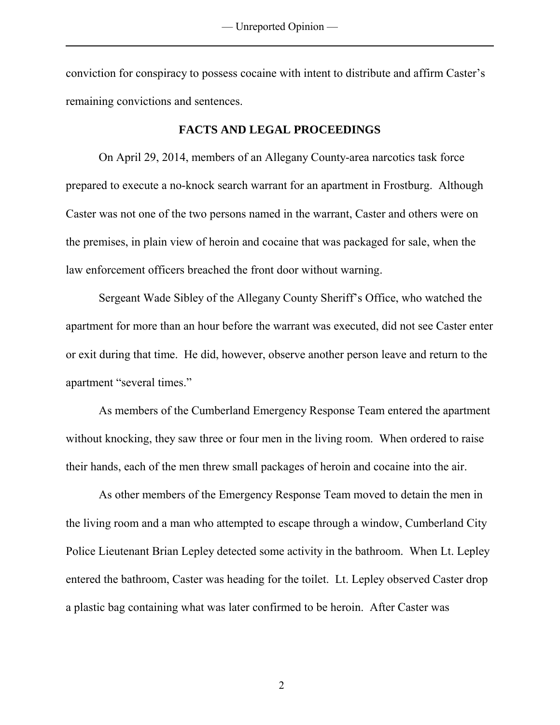conviction for conspiracy to possess cocaine with intent to distribute and affirm Caster's remaining convictions and sentences.

### **FACTS AND LEGAL PROCEEDINGS**

On April 29, 2014, members of an Allegany County-area narcotics task force prepared to execute a no-knock search warrant for an apartment in Frostburg. Although Caster was not one of the two persons named in the warrant, Caster and others were on the premises, in plain view of heroin and cocaine that was packaged for sale, when the law enforcement officers breached the front door without warning.

 Sergeant Wade Sibley of the Allegany County Sheriff's Office, who watched the apartment for more than an hour before the warrant was executed, did not see Caster enter or exit during that time. He did, however, observe another person leave and return to the apartment "several times."

 As members of the Cumberland Emergency Response Team entered the apartment without knocking, they saw three or four men in the living room. When ordered to raise their hands, each of the men threw small packages of heroin and cocaine into the air.

As other members of the Emergency Response Team moved to detain the men in the living room and a man who attempted to escape through a window, Cumberland City Police Lieutenant Brian Lepley detected some activity in the bathroom. When Lt. Lepley entered the bathroom, Caster was heading for the toilet. Lt. Lepley observed Caster drop a plastic bag containing what was later confirmed to be heroin. After Caster was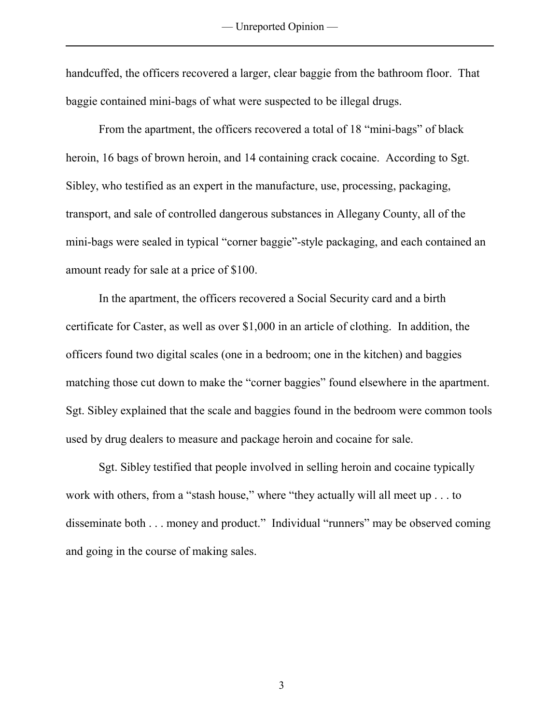handcuffed, the officers recovered a larger, clear baggie from the bathroom floor. That baggie contained mini-bags of what were suspected to be illegal drugs.

 From the apartment, the officers recovered a total of 18 "mini-bags" of black heroin, 16 bags of brown heroin, and 14 containing crack cocaine. According to Sgt. Sibley, who testified as an expert in the manufacture, use, processing, packaging, transport, and sale of controlled dangerous substances in Allegany County, all of the mini-bags were sealed in typical "corner baggie"-style packaging, and each contained an amount ready for sale at a price of \$100.

In the apartment, the officers recovered a Social Security card and a birth certificate for Caster, as well as over \$1,000 in an article of clothing. In addition, the officers found two digital scales (one in a bedroom; one in the kitchen) and baggies matching those cut down to make the "corner baggies" found elsewhere in the apartment. Sgt. Sibley explained that the scale and baggies found in the bedroom were common tools used by drug dealers to measure and package heroin and cocaine for sale.

Sgt. Sibley testified that people involved in selling heroin and cocaine typically work with others, from a "stash house," where "they actually will all meet up . . . to disseminate both . . . money and product." Individual "runners" may be observed coming and going in the course of making sales.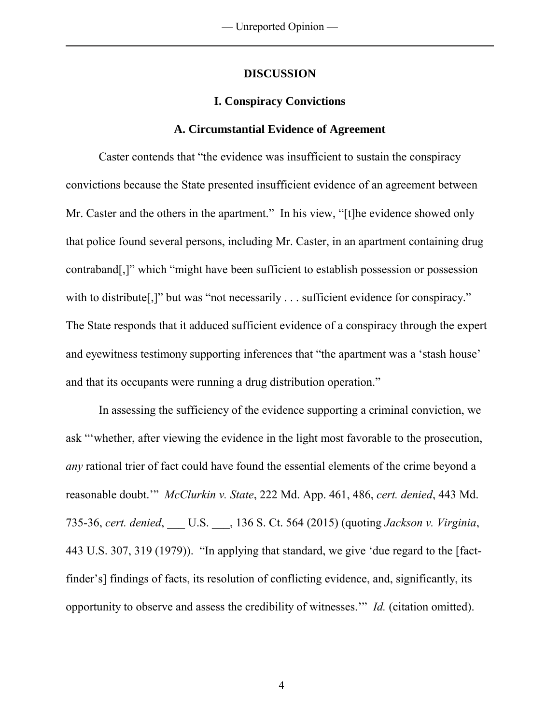#### **DISCUSSION**

## **I. Conspiracy Convictions**

#### **A. Circumstantial Evidence of Agreement**

 Caster contends that "the evidence was insufficient to sustain the conspiracy convictions because the State presented insufficient evidence of an agreement between Mr. Caster and the others in the apartment." In his view, "[t]he evidence showed only that police found several persons, including Mr. Caster, in an apartment containing drug contraband[,]" which "might have been sufficient to establish possession or possession with to distribute[,]" but was "not necessarily . . . sufficient evidence for conspiracy." The State responds that it adduced sufficient evidence of a conspiracy through the expert and eyewitness testimony supporting inferences that "the apartment was a 'stash house' and that its occupants were running a drug distribution operation."

In assessing the sufficiency of the evidence supporting a criminal conviction, we ask "'whether, after viewing the evidence in the light most favorable to the prosecution, *any* rational trier of fact could have found the essential elements of the crime beyond a reasonable doubt.'" *McClurkin v. State*, 222 Md. App. 461, 486, *cert. denied*, 443 Md. 735-36, *cert. denied*, \_\_\_ U.S. \_\_\_, 136 S. Ct. 564 (2015) (quoting *Jackson v. Virginia*, 443 U.S. 307, 319 (1979)). "In applying that standard, we give 'due regard to the [factfinder's] findings of facts, its resolution of conflicting evidence, and, significantly, its opportunity to observe and assess the credibility of witnesses.'" *Id.* (citation omitted).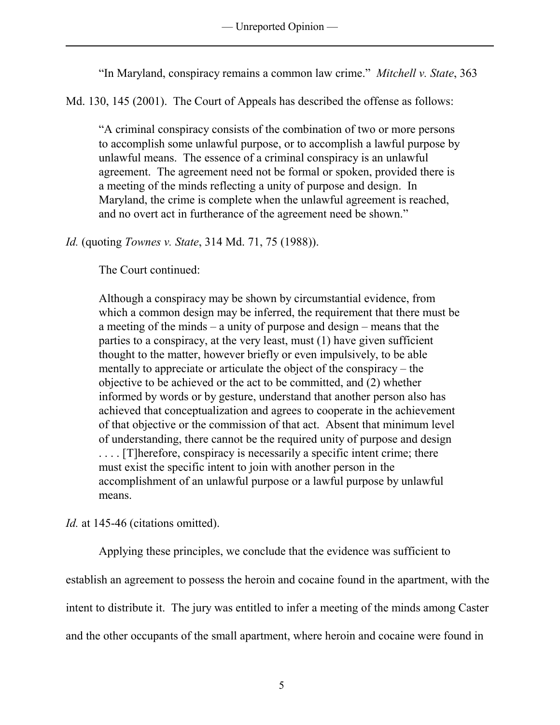"In Maryland, conspiracy remains a common law crime." *Mitchell v. State*, 363

Md. 130, 145 (2001). The Court of Appeals has described the offense as follows:

"A criminal conspiracy consists of the combination of two or more persons to accomplish some unlawful purpose, or to accomplish a lawful purpose by unlawful means. The essence of a criminal conspiracy is an unlawful agreement. The agreement need not be formal or spoken, provided there is a meeting of the minds reflecting a unity of purpose and design. In Maryland, the crime is complete when the unlawful agreement is reached, and no overt act in furtherance of the agreement need be shown."

# *Id.* (quoting *Townes v. State*, 314 Md. 71, 75 (1988)).

The Court continued:

Although a conspiracy may be shown by circumstantial evidence, from which a common design may be inferred, the requirement that there must be a meeting of the minds – a unity of purpose and design – means that the parties to a conspiracy, at the very least, must (1) have given sufficient thought to the matter, however briefly or even impulsively, to be able mentally to appreciate or articulate the object of the conspiracy – the objective to be achieved or the act to be committed, and (2) whether informed by words or by gesture, understand that another person also has achieved that conceptualization and agrees to cooperate in the achievement of that objective or the commission of that act. Absent that minimum level of understanding, there cannot be the required unity of purpose and design . . . . [T]herefore, conspiracy is necessarily a specific intent crime; there must exist the specific intent to join with another person in the accomplishment of an unlawful purpose or a lawful purpose by unlawful means.

*Id.* at 145-46 (citations omitted).

 Applying these principles, we conclude that the evidence was sufficient to establish an agreement to possess the heroin and cocaine found in the apartment, with the intent to distribute it. The jury was entitled to infer a meeting of the minds among Caster and the other occupants of the small apartment, where heroin and cocaine were found in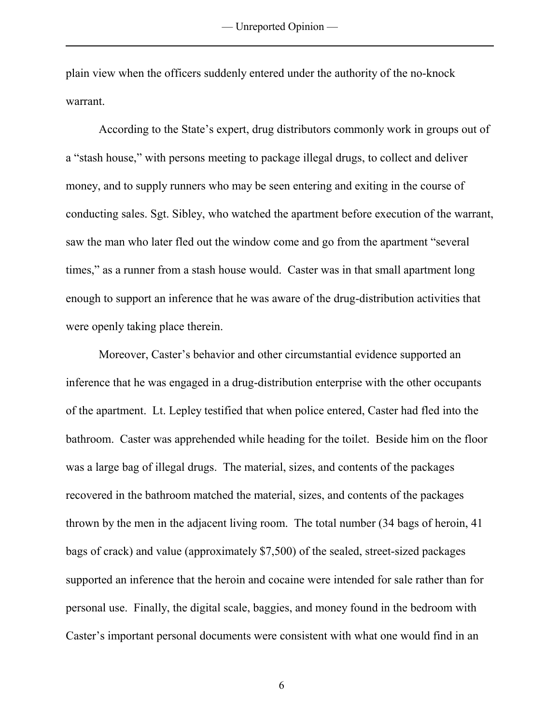plain view when the officers suddenly entered under the authority of the no-knock warrant.

According to the State's expert, drug distributors commonly work in groups out of a "stash house," with persons meeting to package illegal drugs, to collect and deliver money, and to supply runners who may be seen entering and exiting in the course of conducting sales. Sgt. Sibley, who watched the apartment before execution of the warrant, saw the man who later fled out the window come and go from the apartment "several times," as a runner from a stash house would. Caster was in that small apartment long enough to support an inference that he was aware of the drug-distribution activities that were openly taking place therein.

Moreover, Caster's behavior and other circumstantial evidence supported an inference that he was engaged in a drug-distribution enterprise with the other occupants of the apartment. Lt. Lepley testified that when police entered, Caster had fled into the bathroom. Caster was apprehended while heading for the toilet. Beside him on the floor was a large bag of illegal drugs. The material, sizes, and contents of the packages recovered in the bathroom matched the material, sizes, and contents of the packages thrown by the men in the adjacent living room. The total number (34 bags of heroin, 41 bags of crack) and value (approximately \$7,500) of the sealed, street-sized packages supported an inference that the heroin and cocaine were intended for sale rather than for personal use. Finally, the digital scale, baggies, and money found in the bedroom with Caster's important personal documents were consistent with what one would find in an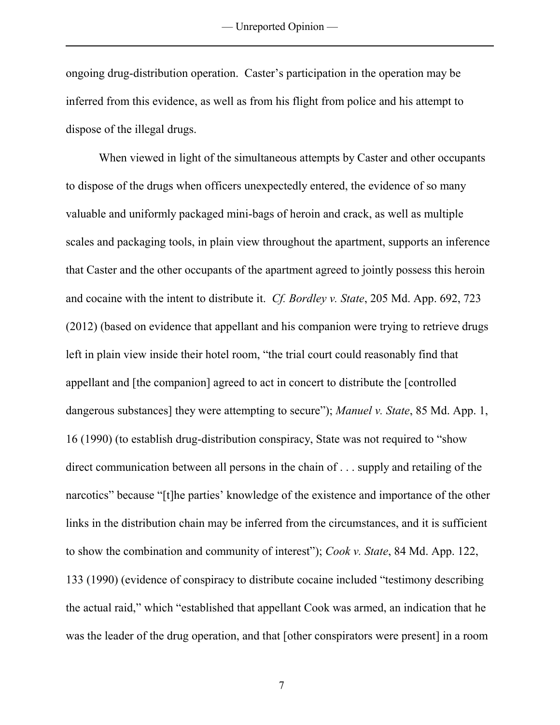ongoing drug-distribution operation. Caster's participation in the operation may be inferred from this evidence, as well as from his flight from police and his attempt to dispose of the illegal drugs.

 When viewed in light of the simultaneous attempts by Caster and other occupants to dispose of the drugs when officers unexpectedly entered, the evidence of so many valuable and uniformly packaged mini-bags of heroin and crack, as well as multiple scales and packaging tools, in plain view throughout the apartment, supports an inference that Caster and the other occupants of the apartment agreed to jointly possess this heroin and cocaine with the intent to distribute it. *Cf. Bordley v. State*, 205 Md. App. 692, 723 (2012) (based on evidence that appellant and his companion were trying to retrieve drugs left in plain view inside their hotel room, "the trial court could reasonably find that appellant and [the companion] agreed to act in concert to distribute the [controlled dangerous substances] they were attempting to secure"); *Manuel v. State*, 85 Md. App. 1, 16 (1990) (to establish drug-distribution conspiracy, State was not required to "show direct communication between all persons in the chain of . . . supply and retailing of the narcotics" because "[t]he parties' knowledge of the existence and importance of the other links in the distribution chain may be inferred from the circumstances, and it is sufficient to show the combination and community of interest"); *Cook v. State*, 84 Md. App. 122, 133 (1990) (evidence of conspiracy to distribute cocaine included "testimony describing the actual raid," which "established that appellant Cook was armed, an indication that he was the leader of the drug operation, and that [other conspirators were present] in a room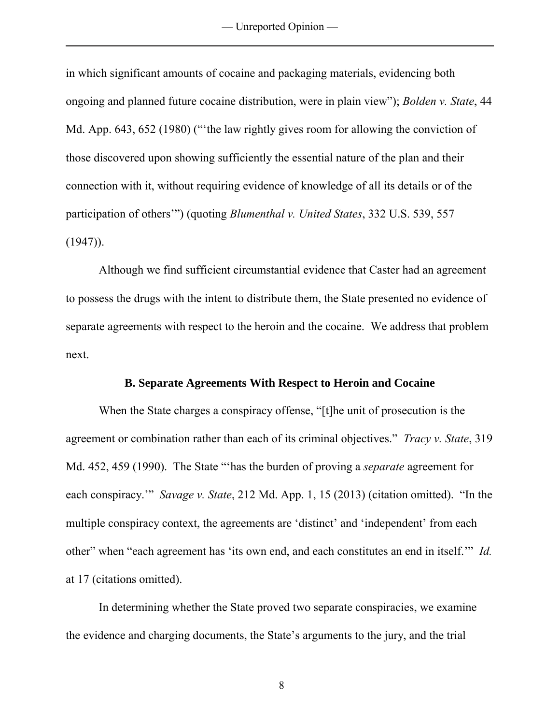in which significant amounts of cocaine and packaging materials, evidencing both ongoing and planned future cocaine distribution, were in plain view"); *Bolden v. State*, 44 Md. App. 643, 652 (1980) (""the law rightly gives room for allowing the conviction of those discovered upon showing sufficiently the essential nature of the plan and their connection with it, without requiring evidence of knowledge of all its details or of the participation of others'") (quoting *Blumenthal v. United States*, 332 U.S. 539, 557  $(1947)$ .

Although we find sufficient circumstantial evidence that Caster had an agreement to possess the drugs with the intent to distribute them, the State presented no evidence of separate agreements with respect to the heroin and the cocaine. We address that problem next.

#### **B. Separate Agreements With Respect to Heroin and Cocaine**

 When the State charges a conspiracy offense, "[t]he unit of prosecution is the agreement or combination rather than each of its criminal objectives." *Tracy v. State*, 319 Md. 452, 459 (1990). The State "'has the burden of proving a *separate* agreement for each conspiracy.'" *Savage v. State*, 212 Md. App. 1, 15 (2013) (citation omitted). "In the multiple conspiracy context, the agreements are 'distinct' and 'independent' from each other" when "each agreement has 'its own end, and each constitutes an end in itself.'" *Id.*  at 17 (citations omitted).

In determining whether the State proved two separate conspiracies, we examine the evidence and charging documents, the State's arguments to the jury, and the trial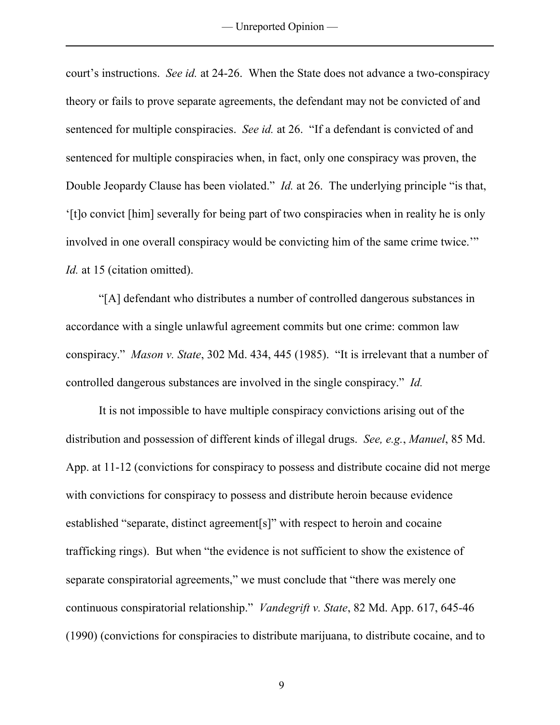— Unreported Opinion —

court's instructions. *See id.* at 24-26. When the State does not advance a two-conspiracy theory or fails to prove separate agreements, the defendant may not be convicted of and sentenced for multiple conspiracies. *See id.* at 26. "If a defendant is convicted of and sentenced for multiple conspiracies when, in fact, only one conspiracy was proven, the Double Jeopardy Clause has been violated." *Id.* at 26. The underlying principle "is that, '[t]o convict [him] severally for being part of two conspiracies when in reality he is only involved in one overall conspiracy would be convicting him of the same crime twice.'" *Id.* at 15 (citation omitted).

 "[A] defendant who distributes a number of controlled dangerous substances in accordance with a single unlawful agreement commits but one crime: common law conspiracy." *Mason v. State*, 302 Md. 434, 445 (1985). "It is irrelevant that a number of controlled dangerous substances are involved in the single conspiracy." *Id.*

It is not impossible to have multiple conspiracy convictions arising out of the distribution and possession of different kinds of illegal drugs. *See, e.g.*, *Manuel*, 85 Md. App. at 11-12 (convictions for conspiracy to possess and distribute cocaine did not merge with convictions for conspiracy to possess and distribute heroin because evidence established "separate, distinct agreement[s]" with respect to heroin and cocaine trafficking rings). But when "the evidence is not sufficient to show the existence of separate conspiratorial agreements," we must conclude that "there was merely one continuous conspiratorial relationship." *Vandegrift v. State*, 82 Md. App. 617, 645-46 (1990) (convictions for conspiracies to distribute marijuana, to distribute cocaine, and to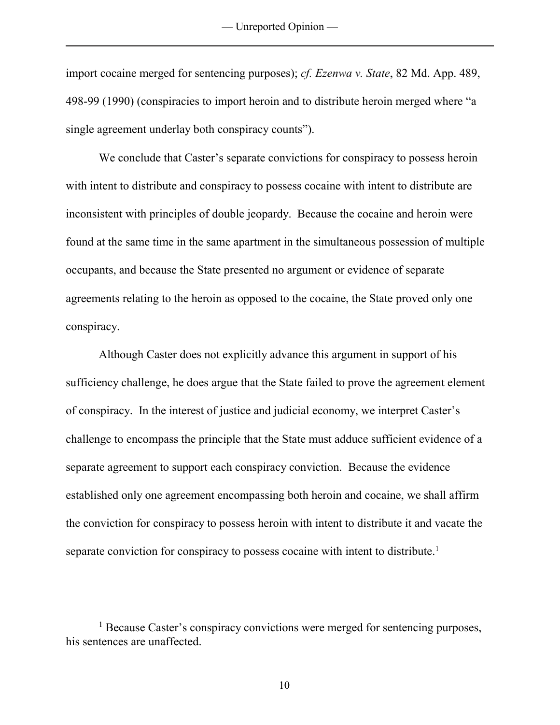import cocaine merged for sentencing purposes); *cf. Ezenwa v. State*, 82 Md. App. 489, 498-99 (1990) (conspiracies to import heroin and to distribute heroin merged where "a single agreement underlay both conspiracy counts").

 We conclude that Caster's separate convictions for conspiracy to possess heroin with intent to distribute and conspiracy to possess cocaine with intent to distribute are inconsistent with principles of double jeopardy. Because the cocaine and heroin were found at the same time in the same apartment in the simultaneous possession of multiple occupants, and because the State presented no argument or evidence of separate agreements relating to the heroin as opposed to the cocaine, the State proved only one conspiracy.

Although Caster does not explicitly advance this argument in support of his sufficiency challenge, he does argue that the State failed to prove the agreement element of conspiracy. In the interest of justice and judicial economy, we interpret Caster's challenge to encompass the principle that the State must adduce sufficient evidence of a separate agreement to support each conspiracy conviction. Because the evidence established only one agreement encompassing both heroin and cocaine, we shall affirm the conviction for conspiracy to possess heroin with intent to distribute it and vacate the separate conviction for conspiracy to possess cocaine with intent to distribute.<sup>1</sup>

 $\overline{a}$ 

<sup>&</sup>lt;sup>1</sup> Because Caster's conspiracy convictions were merged for sentencing purposes, his sentences are unaffected.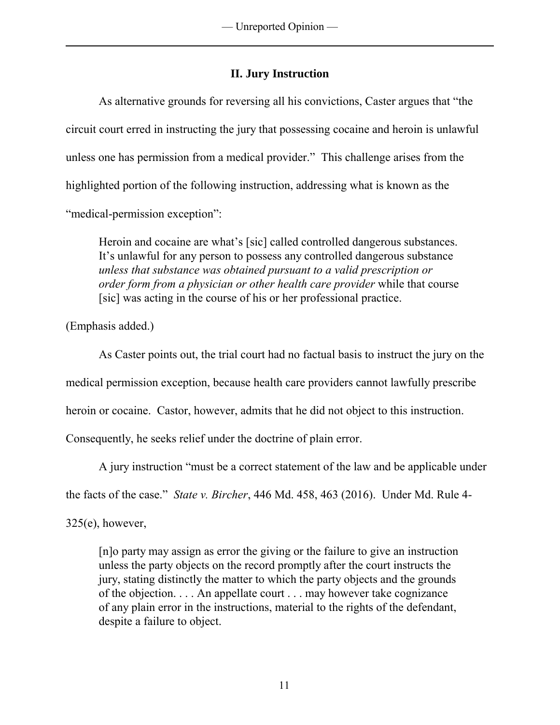# **II. Jury Instruction**

As alternative grounds for reversing all his convictions, Caster argues that "the circuit court erred in instructing the jury that possessing cocaine and heroin is unlawful unless one has permission from a medical provider." This challenge arises from the highlighted portion of the following instruction, addressing what is known as the "medical-permission exception":

Heroin and cocaine are what's [sic] called controlled dangerous substances. It's unlawful for any person to possess any controlled dangerous substance *unless that substance was obtained pursuant to a valid prescription or order form from a physician or other health care provider* while that course [sic] was acting in the course of his or her professional practice.

(Emphasis added.)

As Caster points out, the trial court had no factual basis to instruct the jury on the medical permission exception, because health care providers cannot lawfully prescribe heroin or cocaine. Castor, however, admits that he did not object to this instruction.

Consequently, he seeks relief under the doctrine of plain error.

A jury instruction "must be a correct statement of the law and be applicable under

the facts of the case." *State v. Bircher*, 446 Md. 458, 463 (2016). Under Md. Rule 4-

 $325(e)$ , however,

[n]o party may assign as error the giving or the failure to give an instruction unless the party objects on the record promptly after the court instructs the jury, stating distinctly the matter to which the party objects and the grounds of the objection. . . . An appellate court . . . may however take cognizance of any plain error in the instructions, material to the rights of the defendant, despite a failure to object.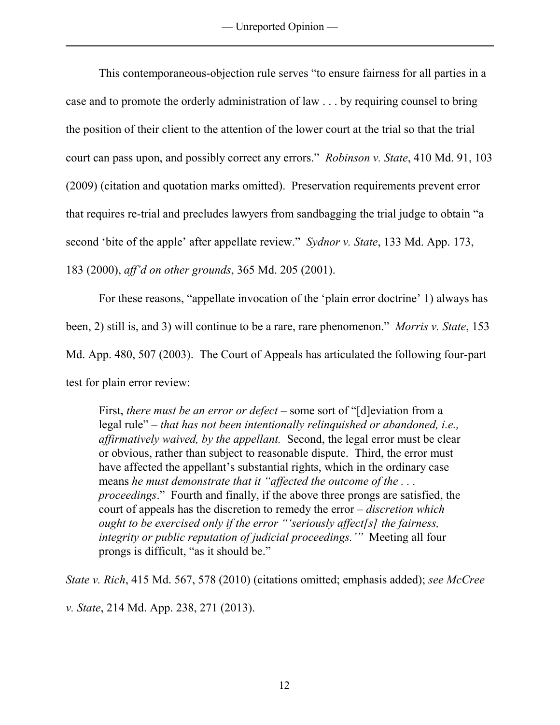This contemporaneous-objection rule serves "to ensure fairness for all parties in a case and to promote the orderly administration of law . . . by requiring counsel to bring the position of their client to the attention of the lower court at the trial so that the trial court can pass upon, and possibly correct any errors." *Robinson v. State*, 410 Md. 91, 103 (2009) (citation and quotation marks omitted). Preservation requirements prevent error that requires re-trial and precludes lawyers from sandbagging the trial judge to obtain "a second 'bite of the apple' after appellate review." *Sydnor v. State*, 133 Md. App. 173, 183 (2000), *aff'd on other grounds*, 365 Md. 205 (2001).

 For these reasons, "appellate invocation of the 'plain error doctrine' 1) always has been, 2) still is, and 3) will continue to be a rare, rare phenomenon." *Morris v. State*, 153 Md. App. 480, 507 (2003). The Court of Appeals has articulated the following four-part test for plain error review:

First, *there must be an error or defect* – some sort of "[d]eviation from a legal rule" – *that has not been intentionally relinquished or abandoned, i.e., affirmatively waived, by the appellant.* Second, the legal error must be clear or obvious, rather than subject to reasonable dispute. Third, the error must have affected the appellant's substantial rights, which in the ordinary case means *he must demonstrate that it "affected the outcome of the . . . proceedings*." Fourth and finally, if the above three prongs are satisfied, the court of appeals has the discretion to remedy the error – *discretion which ought to be exercised only if the error "'seriously affect[s] the fairness, integrity or public reputation of judicial proceedings.'"* Meeting all four prongs is difficult, "as it should be."

*State v. Rich*, 415 Md. 567, 578 (2010) (citations omitted; emphasis added); *see McCree v. State*, 214 Md. App. 238, 271 (2013).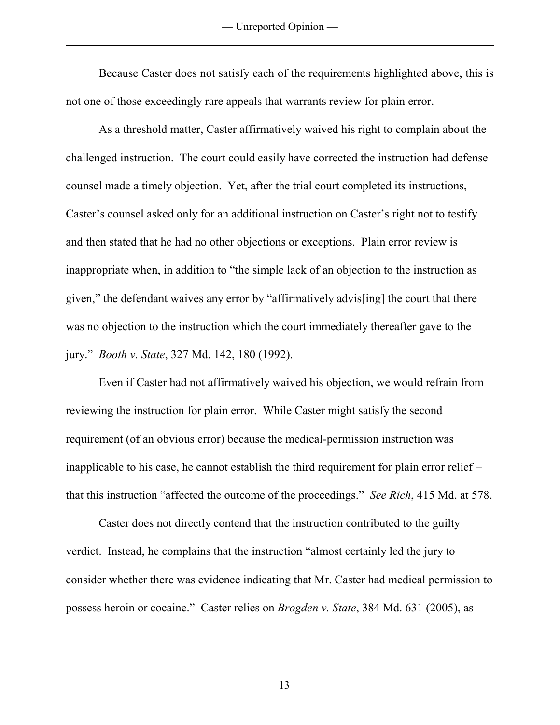— Unreported Opinion —

Because Caster does not satisfy each of the requirements highlighted above, this is not one of those exceedingly rare appeals that warrants review for plain error.

As a threshold matter, Caster affirmatively waived his right to complain about the challenged instruction. The court could easily have corrected the instruction had defense counsel made a timely objection. Yet, after the trial court completed its instructions, Caster's counsel asked only for an additional instruction on Caster's right not to testify and then stated that he had no other objections or exceptions. Plain error review is inappropriate when, in addition to "the simple lack of an objection to the instruction as given," the defendant waives any error by "affirmatively advis[ing] the court that there was no objection to the instruction which the court immediately thereafter gave to the jury." *Booth v. State*, 327 Md. 142, 180 (1992).

 Even if Caster had not affirmatively waived his objection, we would refrain from reviewing the instruction for plain error. While Caster might satisfy the second requirement (of an obvious error) because the medical-permission instruction was inapplicable to his case, he cannot establish the third requirement for plain error relief – that this instruction "affected the outcome of the proceedings." *See Rich*, 415 Md. at 578.

 Caster does not directly contend that the instruction contributed to the guilty verdict. Instead, he complains that the instruction "almost certainly led the jury to consider whether there was evidence indicating that Mr. Caster had medical permission to possess heroin or cocaine." Caster relies on *Brogden v. State*, 384 Md. 631 (2005), as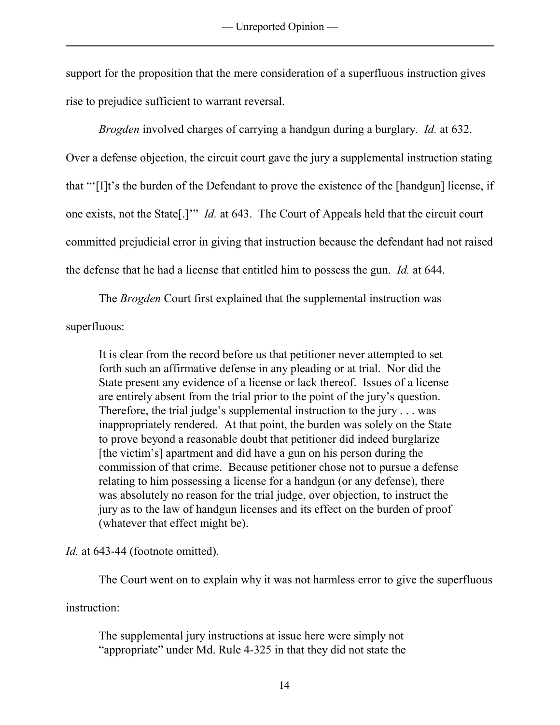support for the proposition that the mere consideration of a superfluous instruction gives rise to prejudice sufficient to warrant reversal.

*Brogden* involved charges of carrying a handgun during a burglary. *Id.* at 632. Over a defense objection, the circuit court gave the jury a supplemental instruction stating that "'[I]t's the burden of the Defendant to prove the existence of the [handgun] license, if one exists, not the State[.]'" *Id.* at 643. The Court of Appeals held that the circuit court committed prejudicial error in giving that instruction because the defendant had not raised the defense that he had a license that entitled him to possess the gun. *Id.* at 644.

The *Brogden* Court first explained that the supplemental instruction was superfluous:

It is clear from the record before us that petitioner never attempted to set forth such an affirmative defense in any pleading or at trial. Nor did the State present any evidence of a license or lack thereof. Issues of a license are entirely absent from the trial prior to the point of the jury's question. Therefore, the trial judge's supplemental instruction to the jury . . . was inappropriately rendered. At that point, the burden was solely on the State to prove beyond a reasonable doubt that petitioner did indeed burglarize [the victim's] apartment and did have a gun on his person during the commission of that crime. Because petitioner chose not to pursue a defense relating to him possessing a license for a handgun (or any defense), there was absolutely no reason for the trial judge, over objection, to instruct the jury as to the law of handgun licenses and its effect on the burden of proof (whatever that effect might be).

*Id.* at 643-44 (footnote omitted).

The Court went on to explain why it was not harmless error to give the superfluous

instruction:

The supplemental jury instructions at issue here were simply not "appropriate" under Md. Rule 4-325 in that they did not state the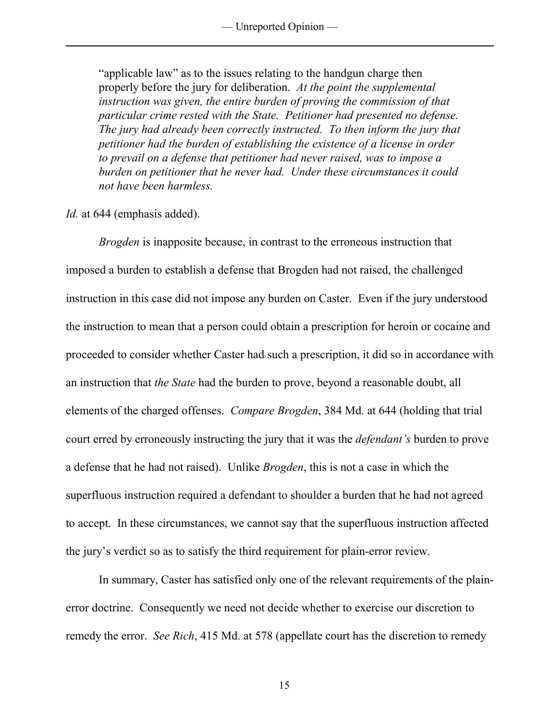"applicable law" as to the issues relating to the handgun charge then properly before the jury for deliberation. *At the point the supplemental instruction was given, the entire burden of proving the commission of that particular crime rested with the State. Petitioner had presented no defense. The jury had already been correctly instructed. To then inform the jury that petitioner had the burden of establishing the existence of a license in order to prevail on a defense that petitioner had never raised, was to impose a burden on petitioner that he never had. Under these circumstances it could not have been harmless.* 

*Id.* at 644 (emphasis added).

*Brogden* is inapposite because, in contrast to the erroneous instruction that imposed a burden to establish a defense that Brogden had not raised, the challenged instruction in this case did not impose any burden on Caster. Even if the jury understood the instruction to mean that a person could obtain a prescription for heroin or cocaine and proceeded to consider whether Caster had such a prescription, it did so in accordance with an instruction that *the State* had the burden to prove, beyond a reasonable doubt, all elements of the charged offenses. *Compare Brogden*, 384 Md. at 644 (holding that trial court erred by erroneously instructing the jury that it was the *defendant's* burden to prove a defense that he had not raised). Unlike *Brogden*, this is not a case in which the superfluous instruction required a defendant to shoulder a burden that he had not agreed to accept. In these circumstances, we cannot say that the superfluous instruction affected the jury's verdict so as to satisfy the third requirement for plain-error review.

 In summary, Caster has satisfied only one of the relevant requirements of the plainerror doctrine. Consequently we need not decide whether to exercise our discretion to remedy the error. *See Rich*, 415 Md. at 578 (appellate court has the discretion to remedy